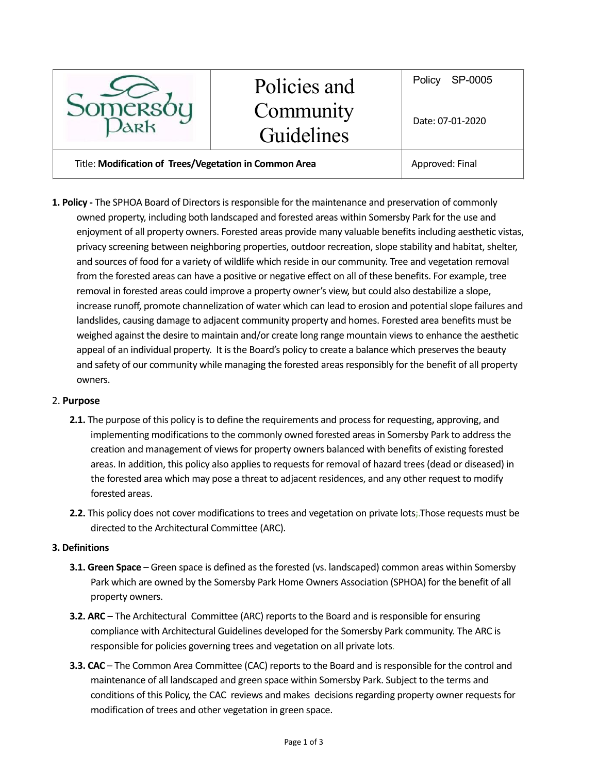

# Policies and **Community** Guidelines

Title: **Modification of Trees/Vegetation in Common Area** Approved: Final

**1. Policy -** The SPHOA Board of Directors is responsible for the maintenance and preservation of commonly owned property, including both landscaped and forested areas within Somersby Park for the use and enjoyment of all property owners. Forested areas provide many valuable benefits including aesthetic vistas, privacy screening between neighboring properties, outdoor recreation, slope stability and habitat, shelter, and sources of food for a variety of wildlife which reside in our community. Tree and vegetation removal from the forested areas can have a positive or negative effect on all of these benefits. For example, tree removal in forested areas could improve a property owner's view, but could also destabilize a slope, increase runoff, promote channelization of water which can lead to erosion and potential slope failures and landslides, causing damage to adjacent community property and homes. Forested area benefits must be weighed against the desire to maintain and/or create long range mountain views to enhance the aesthetic appeal of an individual property. It is the Board's policy to create a balance which preserves the beauty and safety of our community while managing the forested areas responsibly for the benefit of all property owners.

#### 2. **Purpose**

- **2.1.** The purpose of this policy is to define the requirements and process for requesting, approving, and implementing modifications to the commonly owned forested areas in Somersby Park to address the creation and management of views for property owners balanced with benefits of existing forested areas. In addition, this policy also applies to requests for removal of hazard trees (dead or diseased) in the forested area which may pose a threat to adjacent residences, and any other request to modify forested areas.
- **2.2.** This policy does not cover modifications to trees and vegetation on private lots;.Those requests must be directed to the Architectural Committee (ARC).

#### **3. Definitions**

- **3.1. Green Space** Green space is defined as the forested (vs. landscaped) common areas within Somersby Park which are owned by the Somersby Park Home Owners Association (SPHOA) for the benefit of all property owners.
- **3.2. ARC** The Architectural Committee (ARC) reports to the Board and is responsible for ensuring compliance with Architectural Guidelines developed for the Somersby Park community. The ARC is responsible for policies governing trees and vegetation on all private lots.
- **3.3. CAC**  The Common Area Committee (CAC) reports to the Board and is responsible for the control and maintenance of all landscaped and green space within Somersby Park. Subject to the terms and conditions of this Policy, the CAC reviews and makes decisions regarding property owner requests for modification of trees and other vegetation in green space.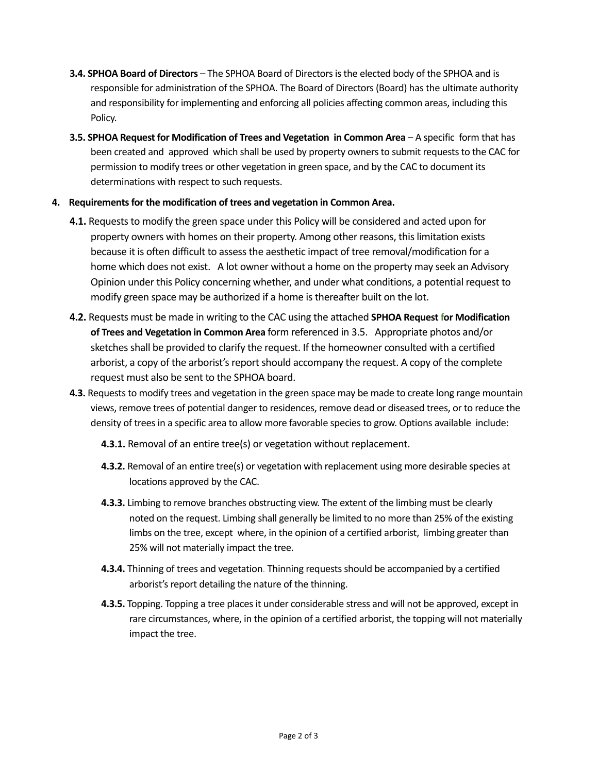- **3.4. SPHOA Board of Directors** The SPHOA Board of Directors is the elected body of the SPHOA and is responsible for administration of the SPHOA. The Board of Directors (Board) has the ultimate authority and responsibility for implementing and enforcing all policies affecting common areas, including this Policy.
- **3.5. SPHOA Request for Modification of Trees and Vegetation in Common Area** A specific form that has been created and approved which shall be used by property ownersto submit requests to the CAC for permission to modify trees or other vegetation in green space, and by the CAC to document its determinations with respect to such requests.
- **4. Requirements for the modification of trees and vegetation in Common Area.** 
	- **4.1.** Requests to modify the green space under this Policy will be considered and acted upon for property owners with homes on their property. Among other reasons, this limitation exists because it is often difficult to assess the aesthetic impact of tree removal/modification for a home which does not exist. A lot owner without a home on the property may seek an Advisory Opinion under this Policy concerning whether, and under what conditions, a potential request to modify green space may be authorized if a home is thereafter built on the lot.
	- **4.2.** Requests must be made in writing to the CAC using the attached **SPHOA Request for Modification of Trees and Vegetation in Common Area** form referenced in 3.5. Appropriate photos and/or sketches shall be provided to clarify the request. If the homeowner consulted with a certified arborist, a copy of the arborist's report should accompany the request. A copy of the complete request must also be sent to the SPHOA board.
	- **4.3.** Requests to modify trees and vegetation in the green space may be made to create long range mountain views, remove trees of potential danger to residences, remove dead or diseased trees, or to reduce the density of trees in a specific area to allow more favorable species to grow. Options available include:
		- **4.3.1.** Removal of an entire tree(s) or vegetation without replacement.
		- **4.3.2.** Removal of an entire tree(s) or vegetation with replacement using more desirable species at locations approved by the CAC.
		- **4.3.3.** Limbing to remove branches obstructing view. The extent of the limbing must be clearly noted on the request. Limbing shall generally be limited to no more than 25% of the existing limbs on the tree, except where, in the opinion of a certified arborist, limbing greater than 25% will not materially impact the tree.
		- **4.3.4.** Thinning of trees and vegetation. Thinning requests should be accompanied by a certified arborist's report detailing the nature of the thinning.
		- **4.3.5.** Topping. Topping a tree places it under considerable stress and will not be approved, except in rare circumstances, where, in the opinion of a certified arborist, the topping will not materially impact the tree.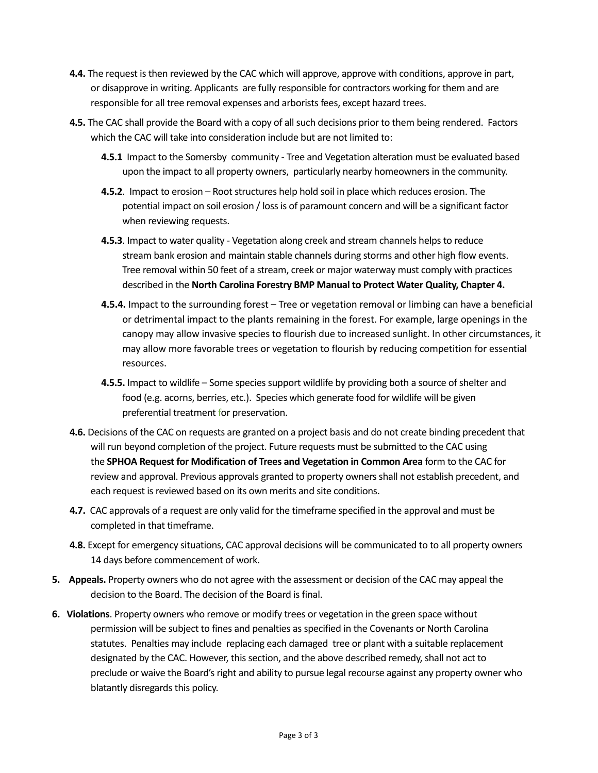- **4.4.** The request is then reviewed by the CAC which will approve, approve with conditions, approve in part, or disapprove in writing. Applicants are fully responsible for contractors working for them and are responsible for all tree removal expenses and arborists fees, except hazard trees.
- **4.5.** The CAC shall provide the Board with a copy of all such decisions prior to them being rendered. Factors which the CAC will take into consideration include but are not limited to:
	- **4.5.1** Impact to the Somersby community Tree and Vegetation alteration must be evaluated based upon the impact to all property owners, particularly nearby homeowners in the community.
	- **4.5.2**. Impact to erosion Root structures help hold soil in place which reduces erosion. The potential impact on soil erosion / loss is of paramount concern and will be a significant factor when reviewing requests.
	- **4.5.3**. Impact to water quality Vegetation along creek and stream channels helps to reduce stream bank erosion and maintain stable channels during storms and other high flow events. Tree removal within 50 feet of a stream, creek or major waterway must comply with practices described in the **North Carolina Forestry BMP Manual to Protect Water Quality, Chapter 4.**
	- **4.5.4.** Impact to the surrounding forest Tree or vegetation removal or limbing can have a beneficial or detrimental impact to the plants remaining in the forest. For example, large openings in the canopy may allow invasive species to flourish due to increased sunlight. In other circumstances, it may allow more favorable trees or vegetation to flourish by reducing competition for essential resources.
	- **4.5.5.** Impact to wildlife Some species support wildlife by providing both a source of shelter and food (e.g. acorns, berries, etc.). Species which generate food for wildlife will be given preferential treatment for preservation.
- **4.6.** Decisions of the CAC on requests are granted on a project basis and do not create binding precedent that will run beyond completion of the project. Future requests must be submitted to the CAC using the **SPHOA Request for Modification of Trees and Vegetation in Common Area** form to the CAC for review and approval. Previous approvals granted to property owners shall not establish precedent, and each request is reviewed based on its own merits and site conditions.
- **4.7.** CAC approvals of a request are only valid for the timeframe specified in the approval and must be completed in that timeframe.
- **4.8.** Except for emergency situations, CAC approval decisions will be communicated to to all property owners 14 days before commencement of work.
- **5. Appeals.** Property owners who do not agree with the assessment or decision of the CAC may appeal the decision to the Board. The decision of the Board is final.
- **6. Violations**. Property owners who remove or modify trees or vegetation in the green space without permission will be subject to fines and penalties as specified in the Covenants or North Carolina statutes. Penalties may include replacing each damaged tree or plant with a suitable replacement designated by the CAC. However, this section, and the above described remedy, shall not act to preclude or waive the Board's right and ability to pursue legal recourse against any property owner who blatantly disregards this policy.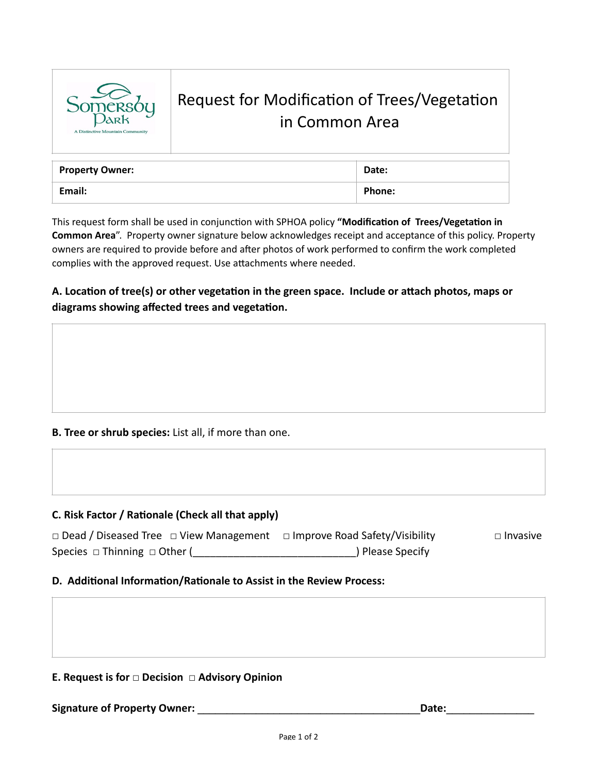

## Request for Modification of Trees/Vegetation in Common Area

| <b>Property Owner:</b> | Date:         |
|------------------------|---------------|
| Email:                 | <b>Phone:</b> |

This request form shall be used in conjunction with SPHOA policy "Modification of Trees/Vegetation in **Common Area**". Property owner signature below acknowledges receipt and acceptance of this policy. Property owners are required to provide before and after photos of work performed to confirm the work completed complies with the approved request. Use attachments where needed.

A. Location of tree(s) or other vegetation in the green space. Include or attach photos, maps or diagrams showing affected trees and vegetation.

#### **B. Tree or shrub species:** List all, if more than one.

#### **C. Risk Factor / Rationale (Check all that apply)**

| $\Box$ Dead / Diseased Tree $\Box$ View Management | □ Improve Road Safety/Visibility | $\Box$ Invasive |
|----------------------------------------------------|----------------------------------|-----------------|
| Species $\Box$ Thinning $\Box$ Other (             | ) Please Specify                 |                 |

#### **D. Additional Information/Rationale to Assist in the Review Process:**

#### **E. Request is for □ Decision □ Advisory Opinion**

**Signature of Property Owner: \_\_\_\_\_\_\_\_\_\_\_\_\_\_\_\_\_\_\_\_\_\_\_\_\_\_\_\_\_\_\_\_\_\_\_\_\_\_Date:\_\_\_\_\_\_\_\_\_\_\_\_\_\_\_**